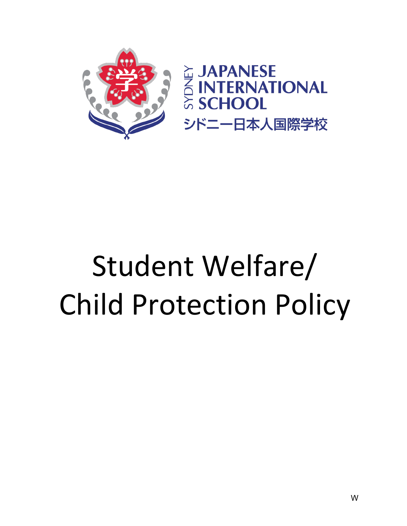

# Student Welfare/ Child Protection Policy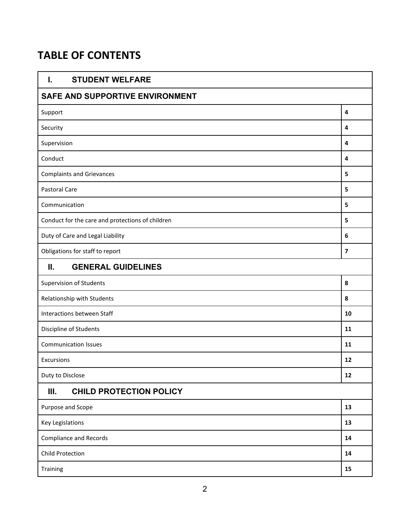# **TABLE OF CONTENTS**

| <b>STUDENT WELFARE</b><br>I.                     |                |  |  |
|--------------------------------------------------|----------------|--|--|
| SAFE AND SUPPORTIVE ENVIRONMENT                  |                |  |  |
| Support                                          | 4              |  |  |
| Security                                         | 4              |  |  |
| Supervision                                      | 4              |  |  |
| Conduct                                          | 4              |  |  |
| <b>Complaints and Grievances</b>                 | 5              |  |  |
| Pastoral Care                                    | 5              |  |  |
| Communication                                    |                |  |  |
| Conduct for the care and protections of children | 5              |  |  |
| Duty of Care and Legal Liability                 | 6              |  |  |
| Obligations for staff to report                  | $\overline{7}$ |  |  |
| <b>GENERAL GUIDELINES</b><br>Ш.                  |                |  |  |
| <b>Supervision of Students</b>                   | 8              |  |  |
| Relationship with Students                       | 8              |  |  |
| Interactions between Staff                       |                |  |  |
| Discipline of Students                           |                |  |  |
| <b>Communication Issues</b>                      |                |  |  |
| Excursions                                       | 12             |  |  |
| Duty to Disclose                                 | 12             |  |  |
| <b>CHILD PROTECTION POLICY</b><br>Ш.             |                |  |  |
| Purpose and Scope                                | 13             |  |  |
| Key Legislations                                 | 13             |  |  |
| <b>Compliance and Records</b>                    | 14             |  |  |
| <b>Child Protection</b>                          | 14             |  |  |
| 15<br>Training                                   |                |  |  |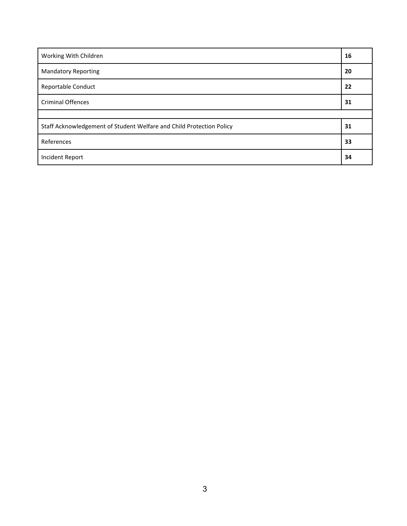| Working With Children                                                | 16 |
|----------------------------------------------------------------------|----|
| <b>Mandatory Reporting</b>                                           | 20 |
| <b>Reportable Conduct</b>                                            | 22 |
| <b>Criminal Offences</b>                                             | 31 |
|                                                                      |    |
| Staff Acknowledgement of Student Welfare and Child Protection Policy | 31 |
| References                                                           | 33 |
| <b>Incident Report</b>                                               | 34 |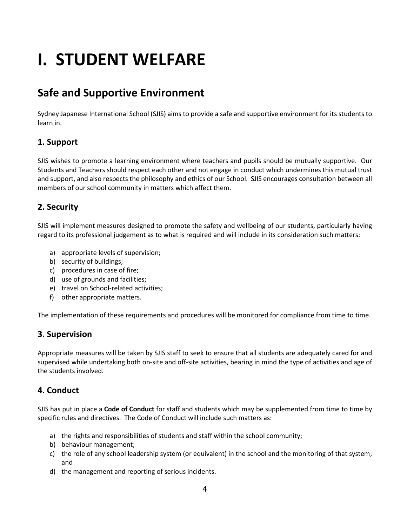# **I. STUDENT WELFARE**

# **Safe and Supportive Environment**

Sydney Japanese International School (SJIS) aims to provide a safe and supportive environment for its students to learn in.

# **1. Support**

SJIS wishes to promote a learning environment where teachers and pupils should be mutually supportive. Our Students and Teachers should respect each other and not engage in conduct which undermines this mutual trust and support, and also respects the philosophy and ethics of our School. SJIS encourages consultation between all members of our school community in matters which affect them.

# **2. Security**

SJIS will implement measures designed to promote the safety and wellbeing of our students, particularly having regard to its professional judgement as to what is required and will include in its consideration such matters:

- a) appropriate levels of supervision;
- b) security of buildings;
- c) procedures in case of fire;
- d) use of grounds and facilities;
- e) travel on School-related activities;
- f) other appropriate matters.

The implementation of these requirements and procedures will be monitored for compliance from time to time.

# **3. Supervision**

Appropriate measures will be taken by SJIS staff to seek to ensure that all students are adequately cared for and supervised while undertaking both on-site and off-site activities, bearing in mind the type of activities and age of the students involved.

# **4. Conduct**

SJIS has put in place a **Code of Conduct** for staff and students which may be supplemented from time to time by specific rules and directives. The Code of Conduct will include such matters as:

- a) the rights and responsibilities of students and staff within the school community;
- b) behaviour management;
- c) the role of any school leadership system (or equivalent) in the school and the monitoring of that system; and
- d) the management and reporting of serious incidents.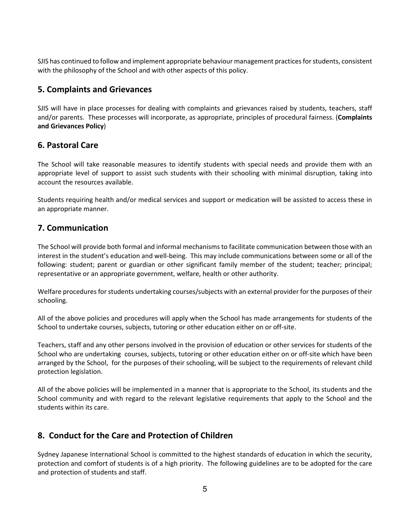SJIS has continued to follow and implement appropriate behaviour management practices for students, consistent with the philosophy of the School and with other aspects of this policy.

# **5. Complaints and Grievances**

SJIS will have in place processes for dealing with complaints and grievances raised by students, teachers, staff and/or parents. These processes will incorporate, as appropriate, principles of procedural fairness. (**Complaints and Grievances Policy**)

# **6. Pastoral Care**

The School will take reasonable measures to identify students with special needs and provide them with an appropriate level of support to assist such students with their schooling with minimal disruption, taking into account the resources available.

Students requiring health and/or medical services and support or medication will be assisted to access these in an appropriate manner.

# **7. Communication**

The School will provide both formal and informal mechanisms to facilitate communication between those with an interest in the student's education and well-being. This may include communications between some or all of the following: student; parent or guardian or other significant family member of the student; teacher; principal; representative or an appropriate government, welfare, health or other authority.

Welfare procedures for students undertaking courses/subjects with an external provider for the purposes of their schooling.

All of the above policies and procedures will apply when the School has made arrangements for students of the School to undertake courses, subjects, tutoring or other education either on or off-site.

Teachers, staff and any other persons involved in the provision of education or other services for students of the School who are undertaking courses, subjects, tutoring or other education either on or off-site which have been arranged by the School, for the purposes of their schooling, will be subject to the requirements of relevant child protection legislation.

All of the above policies will be implemented in a manner that is appropriate to the School, its students and the School community and with regard to the relevant legislative requirements that apply to the School and the students within its care.

# **8. Conduct for the Care and Protection of Children**

Sydney Japanese International School is committed to the highest standards of education in which the security, protection and comfort of students is of a high priority. The following guidelines are to be adopted for the care and protection of students and staff.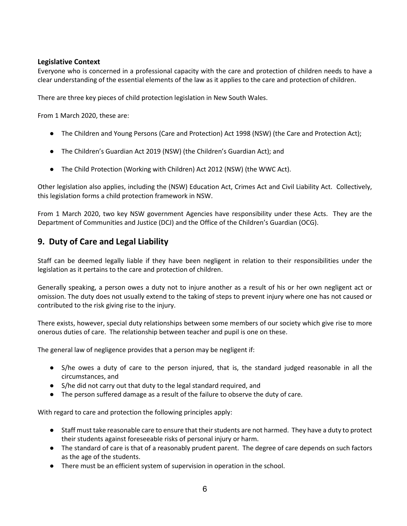## **Legislative Context**

Everyone who is concerned in a professional capacity with the care and protection of children needs to have a clear understanding of the essential elements of the law as it applies to the care and protection of children.

There are three key pieces of child protection legislation in New South Wales.

From 1 March 2020, these are:

- The Children and Young Persons (Care and Protection) Act 1998 (NSW) (the Care and Protection Act);
- The Children's Guardian Act 2019 (NSW) (the Children's Guardian Act); and
- The Child Protection (Working with Children) Act 2012 (NSW) (the WWC Act).

Other legislation also applies, including the (NSW) Education Act, Crimes Act and Civil Liability Act. Collectively, this legislation forms a child protection framework in NSW.

From 1 March 2020, two key NSW government Agencies have responsibility under these Acts. They are the Department of Communities and Justice (DCJ) and the Office of the Children's Guardian (OCG).

# **9. Duty of Care and Legal Liability**

Staff can be deemed legally liable if they have been negligent in relation to their responsibilities under the legislation as it pertains to the care and protection of children.

Generally speaking, a person owes a duty not to injure another as a result of his or her own negligent act or omission. The duty does not usually extend to the taking of steps to prevent injury where one has not caused or contributed to the risk giving rise to the injury.

There exists, however, special duty relationships between some members of our society which give rise to more onerous duties of care. The relationship between teacher and pupil is one on these.

The general law of negligence provides that a person may be negligent if:

- S/he owes a duty of care to the person injured, that is, the standard judged reasonable in all the circumstances, and
- S/he did not carry out that duty to the legal standard required, and
- The person suffered damage as a result of the failure to observe the duty of care.

With regard to care and protection the following principles apply:

- Staff must take reasonable care to ensure that their students are not harmed. They have a duty to protect their students against foreseeable risks of personal injury or harm.
- The standard of care is that of a reasonably prudent parent. The degree of care depends on such factors as the age of the students.
- There must be an efficient system of supervision in operation in the school.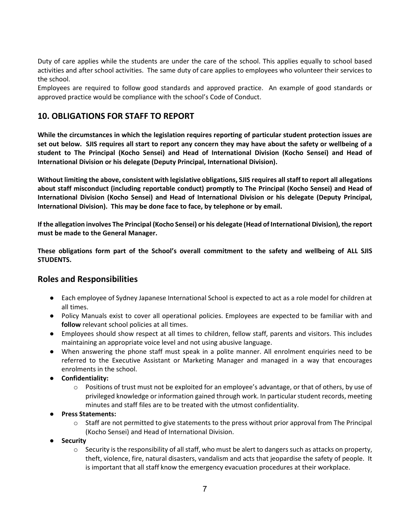Duty of care applies while the students are under the care of the school. This applies equally to school based activities and after school activities. The same duty of care applies to employees who volunteer their services to the school.

Employees are required to follow good standards and approved practice. An example of good standards or approved practice would be compliance with the school's Code of Conduct.

# **10. OBLIGATIONS FOR STAFF TO REPORT**

**While the circumstances in which the legislation requires reporting of particular student protection issues are set out below. SJIS requires all start to report any concern they may have about the safety or wellbeing of a student to The Principal (Kocho Sensei) and Head of International Division (Kocho Sensei) and Head of International Division or his delegate (Deputy Principal, International Division).**

**Without limiting the above, consistent with legislative obligations, SJIS requires all staff to report all allegations about staff misconduct (including reportable conduct) promptly to The Principal (Kocho Sensei) and Head of International Division (Kocho Sensei) and Head of International Division or his delegate (Deputy Principal, International Division). This may be done face to face, by telephone or by email.**

**If the allegation involves The Principal (Kocho Sensei) or his delegate (Head of International Division), the report must be made to the General Manager.**

**These obligations form part of the School's overall commitment to the safety and wellbeing of ALL SJIS STUDENTS.**

# **Roles and Responsibilities**

- Each employee of Sydney Japanese International School is expected to act as a role model for children at all times.
- Policy Manuals exist to cover all operational policies. Employees are expected to be familiar with and **follow** relevant school policies at all times.
- Employees should show respect at all times to children, fellow staff, parents and visitors. This includes maintaining an appropriate voice level and not using abusive language.
- When answering the phone staff must speak in a polite manner. All enrolment enquiries need to be referred to the Executive Assistant or Marketing Manager and managed in a way that encourages enrolments in the school.
- **Confidentiality:**
	- $\circ$  Positions of trust must not be exploited for an employee's advantage, or that of others, by use of privileged knowledge or information gained through work. In particular student records, meeting minutes and staff files are to be treated with the utmost confidentiality.
- **Press Statements:**
	- $\circ$  Staff are not permitted to give statements to the press without prior approval from The Principal (Kocho Sensei) and Head of International Division.
- **Security**
	- $\circ$  Security is the responsibility of all staff, who must be alert to dangers such as attacks on property, theft, violence, fire, natural disasters, vandalism and acts that jeopardise the safety of people. It is important that all staff know the emergency evacuation procedures at their workplace.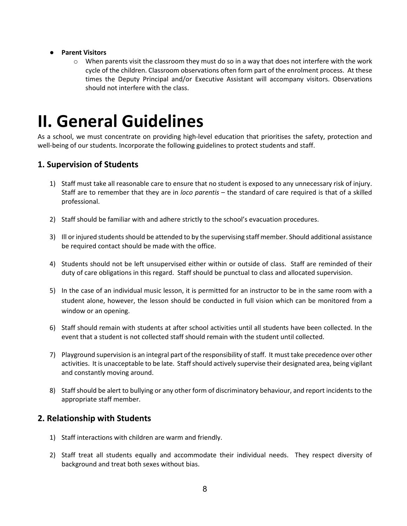#### ● **Parent Visitors**

 $\circ$  When parents visit the classroom they must do so in a way that does not interfere with the work cycle of the children. Classroom observations often form part of the enrolment process. At these times the Deputy Principal and/or Executive Assistant will accompany visitors. Observations should not interfere with the class.

# **II. General Guidelines**

As a school, we must concentrate on providing high-level education that prioritises the safety, protection and well-being of our students. Incorporate the following guidelines to protect students and staff.

# **1. Supervision of Students**

- 1) Staff must take all reasonable care to ensure that no student is exposed to any unnecessary risk of injury. Staff are to remember that they are in *loco parentis* – the standard of care required is that of a skilled professional.
- 2) Staff should be familiar with and adhere strictly to the school's evacuation procedures.
- 3) Ill or injured students should be attended to by the supervising staff member. Should additional assistance be required contact should be made with the office.
- 4) Students should not be left unsupervised either within or outside of class. Staff are reminded of their duty of care obligations in this regard. Staff should be punctual to class and allocated supervision.
- 5) In the case of an individual music lesson, it is permitted for an instructor to be in the same room with a student alone, however, the lesson should be conducted in full vision which can be monitored from a window or an opening.
- 6) Staff should remain with students at after school activities until all students have been collected. In the event that a student is not collected staff should remain with the student until collected.
- 7) Playground supervision is an integral part of the responsibility of staff. It must take precedence over other activities. It is unacceptable to be late. Staff should actively supervise their designated area, being vigilant and constantly moving around.
- 8) Staff should be alert to bullying or any other form of discriminatory behaviour, and report incidents to the appropriate staff member.

# **2. Relationship with Students**

- 1) Staff interactions with children are warm and friendly.
- 2) Staff treat all students equally and accommodate their individual needs. They respect diversity of background and treat both sexes without bias.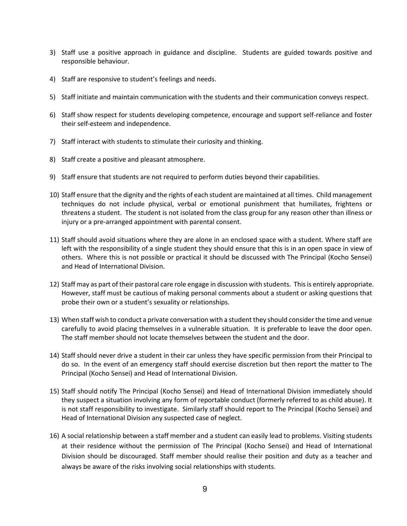- 3) Staff use a positive approach in guidance and discipline. Students are guided towards positive and responsible behaviour.
- 4) Staff are responsive to student's feelings and needs.
- 5) Staff initiate and maintain communication with the students and their communication conveys respect.
- 6) Staff show respect for students developing competence, encourage and support self-reliance and foster their self-esteem and independence.
- 7) Staff interact with students to stimulate their curiosity and thinking.
- 8) Staff create a positive and pleasant atmosphere.
- 9) Staff ensure that students are not required to perform duties beyond their capabilities.
- 10) Staff ensure that the dignity and the rights of each student are maintained at all times. Child management techniques do not include physical, verbal or emotional punishment that humiliates, frightens or threatens a student. The student is not isolated from the class group for any reason other than illness or injury or a pre-arranged appointment with parental consent.
- 11) Staff should avoid situations where they are alone in an enclosed space with a student. Where staff are left with the responsibility of a single student they should ensure that this is in an open space in view of others. Where this is not possible or practical it should be discussed with The Principal (Kocho Sensei) and Head of International Division.
- 12) Staff may as part of their pastoral care role engage in discussion with students. This is entirely appropriate. However, staff must be cautious of making personal comments about a student or asking questions that probe their own or a student's sexuality or relationships.
- 13) When staff wish to conduct a private conversation with a student they should consider the time and venue carefully to avoid placing themselves in a vulnerable situation. It is preferable to leave the door open. The staff member should not locate themselves between the student and the door.
- 14) Staff should never drive a student in their car unless they have specific permission from their Principal to do so. In the event of an emergency staff should exercise discretion but then report the matter to The Principal (Kocho Sensei) and Head of International Division.
- 15) Staff should notify The Principal (Kocho Sensei) and Head of International Division immediately should they suspect a situation involving any form of reportable conduct (formerly referred to as child abuse). It is not staff responsibility to investigate. Similarly staff should report to The Principal (Kocho Sensei) and Head of International Division any suspected case of neglect.
- 16) A social relationship between a staff member and a student can easily lead to problems. Visiting students at their residence without the permission of The Principal (Kocho Sensei) and Head of International Division should be discouraged. Staff member should realise their position and duty as a teacher and always be aware of the risks involving social relationships with students.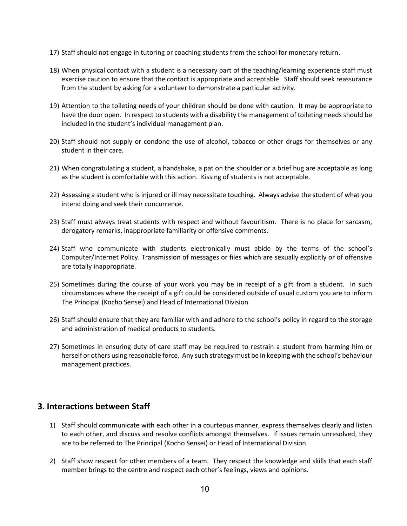- 17) Staff should not engage in tutoring or coaching students from the school for monetary return.
- 18) When physical contact with a student is a necessary part of the teaching/learning experience staff must exercise caution to ensure that the contact is appropriate and acceptable. Staff should seek reassurance from the student by asking for a volunteer to demonstrate a particular activity.
- 19) Attention to the toileting needs of your children should be done with caution. It may be appropriate to have the door open. In respect to students with a disability the management of toileting needs should be included in the student's individual management plan.
- 20) Staff should not supply or condone the use of alcohol, tobacco or other drugs for themselves or any student in their care.
- 21) When congratulating a student, a handshake, a pat on the shoulder or a brief hug are acceptable as long as the student is comfortable with this action. Kissing of students is not acceptable.
- 22) Assessing a student who is injured or ill may necessitate touching. Always advise the student of what you intend doing and seek their concurrence.
- 23) Staff must always treat students with respect and without favouritism. There is no place for sarcasm, derogatory remarks, inappropriate familiarity or offensive comments.
- 24) Staff who communicate with students electronically must abide by the terms of the school's Computer/Internet Policy. Transmission of messages or files which are sexually explicitly or of offensive are totally inappropriate.
- 25) Sometimes during the course of your work you may be in receipt of a gift from a student. In such circumstances where the receipt of a gift could be considered outside of usual custom you are to inform The Principal (Kocho Sensei) and Head of International Division
- 26) Staff should ensure that they are familiar with and adhere to the school's policy in regard to the storage and administration of medical products to students.
- 27) Sometimes in ensuring duty of care staff may be required to restrain a student from harming him or herself or others using reasonable force. Any such strategy must be in keeping with the school's behaviour management practices.

# **3. Interactions between Staff**

- 1) Staff should communicate with each other in a courteous manner, express themselves clearly and listen to each other, and discuss and resolve conflicts amongst themselves. If issues remain unresolved, they are to be referred to The Principal (Kocho Sensei) or Head of International Division.
- 2) Staff show respect for other members of a team. They respect the knowledge and skills that each staff member brings to the centre and respect each other's feelings, views and opinions.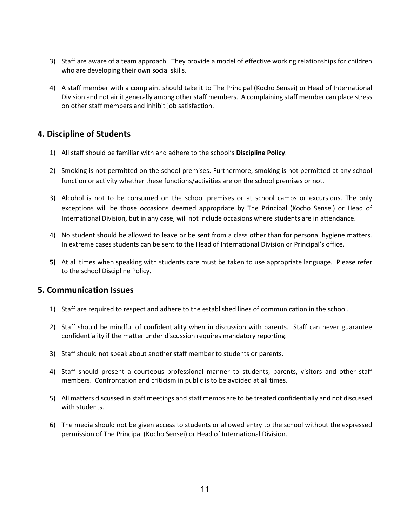- 3) Staff are aware of a team approach. They provide a model of effective working relationships for children who are developing their own social skills.
- 4) A staff member with a complaint should take it to The Principal (Kocho Sensei) or Head of International Division and not air it generally among other staff members. A complaining staff member can place stress on other staff members and inhibit job satisfaction.

# **4. Discipline of Students**

- 1) All staff should be familiar with and adhere to the school's **Discipline Policy**.
- 2) Smoking is not permitted on the school premises. Furthermore, smoking is not permitted at any school function or activity whether these functions/activities are on the school premises or not.
- 3) Alcohol is not to be consumed on the school premises or at school camps or excursions. The only exceptions will be those occasions deemed appropriate by The Principal (Kocho Sensei) or Head of International Division, but in any case, will not include occasions where students are in attendance.
- 4) No student should be allowed to leave or be sent from a class other than for personal hygiene matters. In extreme cases students can be sent to the Head of International Division or Principal's office.
- **5)** At all times when speaking with students care must be taken to use appropriate language. Please refer to the school Discipline Policy.

# **5. Communication Issues**

- 1) Staff are required to respect and adhere to the established lines of communication in the school.
- 2) Staff should be mindful of confidentiality when in discussion with parents. Staff can never guarantee confidentiality if the matter under discussion requires mandatory reporting.
- 3) Staff should not speak about another staff member to students or parents.
- 4) Staff should present a courteous professional manner to students, parents, visitors and other staff members. Confrontation and criticism in public is to be avoided at all times.
- 5) All matters discussed in staff meetings and staff memos are to be treated confidentially and not discussed with students.
- 6) The media should not be given access to students or allowed entry to the school without the expressed permission of The Principal (Kocho Sensei) or Head of International Division.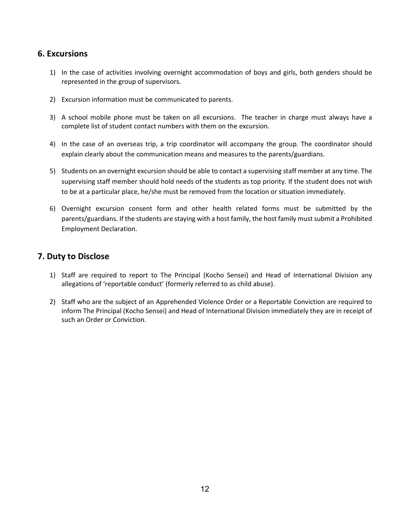# **6. Excursions**

- 1) In the case of activities involving overnight accommodation of boys and girls, both genders should be represented in the group of supervisors.
- 2) Excursion information must be communicated to parents.
- 3) A school mobile phone must be taken on all excursions. The teacher in charge must always have a complete list of student contact numbers with them on the excursion.
- 4) In the case of an overseas trip, a trip coordinator will accompany the group. The coordinator should explain clearly about the communication means and measures to the parents/guardians.
- 5) Students on an overnight excursion should be able to contact a supervising staff member at any time. The supervising staff member should hold needs of the students as top priority. If the student does not wish to be at a particular place, he/she must be removed from the location or situation immediately.
- 6) Overnight excursion consent form and other health related forms must be submitted by the parents/guardians. If the students are staying with a host family, the host family must submit a Prohibited Employment Declaration.

# **7. Duty to Disclose**

- 1) Staff are required to report to The Principal (Kocho Sensei) and Head of International Division any allegations of 'reportable conduct' (formerly referred to as child abuse).
- 2) Staff who are the subject of an Apprehended Violence Order or a Reportable Conviction are required to inform The Principal (Kocho Sensei) and Head of International Division immediately they are in receipt of such an Order or Conviction.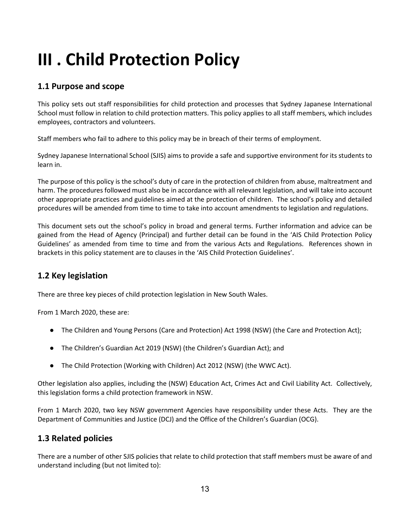# **III . Child Protection Policy**

# **1.1 Purpose and scope**

This policy sets out staff responsibilities for child protection and processes that Sydney Japanese International School must follow in relation to child protection matters. This policy applies to all staff members, which includes employees, contractors and volunteers.

Staff members who fail to adhere to this policy may be in breach of their terms of employment.

Sydney Japanese International School (SJIS) aims to provide a safe and supportive environment for its students to learn in.

The purpose of this policy is the school's duty of care in the protection of children from abuse, maltreatment and harm. The procedures followed must also be in accordance with all relevant legislation, and will take into account other appropriate practices and guidelines aimed at the protection of children. The school's policy and detailed procedures will be amended from time to time to take into account amendments to legislation and regulations.

This document sets out the school's policy in broad and general terms. Further information and advice can be gained from the Head of Agency (Principal) and further detail can be found in the 'AIS Child Protection Policy Guidelines' as amended from time to time and from the various Acts and Regulations. References shown in brackets in this policy statement are to clauses in the 'AIS Child Protection Guidelines'.

# **1.2 Key legislation**

There are three key pieces of child protection legislation in New South Wales.

From 1 March 2020, these are:

- The Children and Young Persons (Care and Protection) Act 1998 (NSW) (the Care and Protection Act);
- The Children's Guardian Act 2019 (NSW) (the Children's Guardian Act); and
- The Child Protection (Working with Children) Act 2012 (NSW) (the WWC Act).

Other legislation also applies, including the (NSW) Education Act, Crimes Act and Civil Liability Act. Collectively, this legislation forms a child protection framework in NSW.

From 1 March 2020, two key NSW government Agencies have responsibility under these Acts. They are the Department of Communities and Justice (DCJ) and the Office of the Children's Guardian (OCG).

# **1.3 Related policies**

There are a number of other SJIS policies that relate to child protection that staff members must be aware of and understand including (but not limited to):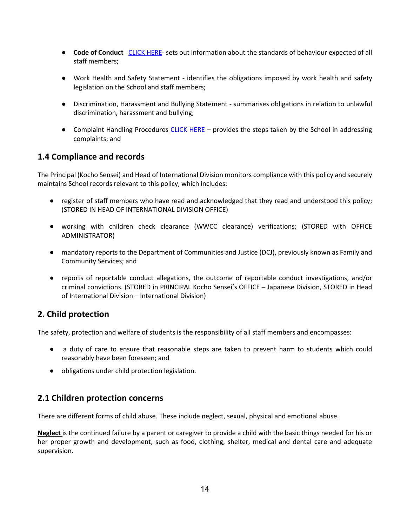- **Code of Conduct** [CLICK HERE-](http://../7.%20Code%20of%20conduct/SJIS%20Code%20of%20Conduct.pdf) sets out information about the standards of behaviour expected of all staff members;
- Work Health and Safety Statement identifies the obligations imposed by work health and safety legislation on the School and staff members;
- Discrimination, Harassment and Bullying Statement summarises obligations in relation to unlawful discrimination, harassment and bullying;
- Complaint Handling Procedures [CLICK HERE](about:blank)  provides the steps taken by the School in addressing complaints; and

# **1.4 Compliance and records**

The Principal (Kocho Sensei) and Head of International Division monitors compliance with this policy and securely maintains School records relevant to this policy, which includes:

- register of staff members who have read and acknowledged that they read and understood this policy; (STORED IN HEAD OF INTERNATIONAL DIVISION OFFICE)
- working with children check clearance (WWCC clearance) verifications; (STORED with OFFICE ADMINISTRATOR)
- mandatory reports to the Department of Communities and Justice (DCJ), previously known as Family and Community Services; and
- reports of reportable conduct allegations, the outcome of reportable conduct investigations, and/or criminal convictions. (STORED in PRINCIPAL Kocho Sensei's OFFICE – Japanese Division, STORED in Head of International Division – International Division)

# **2. Child protection**

The safety, protection and welfare of students is the responsibility of all staff members and encompasses:

- a duty of care to ensure that reasonable steps are taken to prevent harm to students which could reasonably have been foreseen; and
- obligations under child protection legislation.

# **2.1 Children protection concerns**

There are different forms of child abuse. These include neglect, sexual, physical and emotional abuse.

**Neglect** is the continued failure by a parent or caregiver to provide a child with the basic things needed for his or her proper growth and development, such as food, clothing, shelter, medical and dental care and adequate supervision.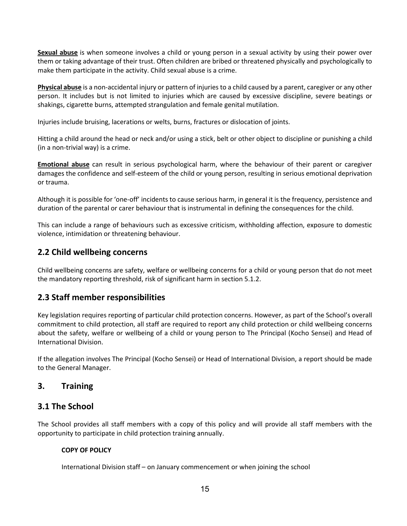**Sexual abuse** is when someone involves a child or young person in a sexual activity by using their power over them or taking advantage of their trust. Often children are bribed or threatened physically and psychologically to make them participate in the activity. Child sexual abuse is a crime.

**Physical abuse** is a non-accidental injury or pattern of injuries to a child caused by a parent, caregiver or any other person. It includes but is not limited to injuries which are caused by excessive discipline, severe beatings or shakings, cigarette burns, attempted strangulation and female genital mutilation.

Injuries include bruising, lacerations or welts, burns, fractures or dislocation of joints.

Hitting a child around the head or neck and/or using a stick, belt or other object to discipline or punishing a child (in a non-trivial way) is a crime.

**Emotional abuse** can result in serious psychological harm, where the behaviour of their parent or caregiver damages the confidence and self-esteem of the child or young person, resulting in serious emotional deprivation or trauma.

Although it is possible for 'one-off' incidents to cause serious harm, in general it is the frequency, persistence and duration of the parental or carer behaviour that is instrumental in defining the consequences for the child.

This can include a range of behaviours such as excessive criticism, withholding affection, exposure to domestic violence, intimidation or threatening behaviour.

# **2.2 Child wellbeing concerns**

Child wellbeing concerns are safety, welfare or wellbeing concerns for a child or young person that do not meet the mandatory reporting threshold, risk of significant harm in section 5.1.2.

# **2.3 Staff member responsibilities**

Key legislation requires reporting of particular child protection concerns. However, as part of the School's overall commitment to child protection, all staff are required to report any child protection or child wellbeing concerns about the safety, welfare or wellbeing of a child or young person to The Principal (Kocho Sensei) and Head of International Division.

If the allegation involves The Principal (Kocho Sensei) or Head of International Division, a report should be made to the General Manager.

# **3. Training**

# **3.1 The School**

The School provides all staff members with a copy of this policy and will provide all staff members with the opportunity to participate in child protection training annually.

## **COPY OF POLICY**

International Division staff – on January commencement or when joining the school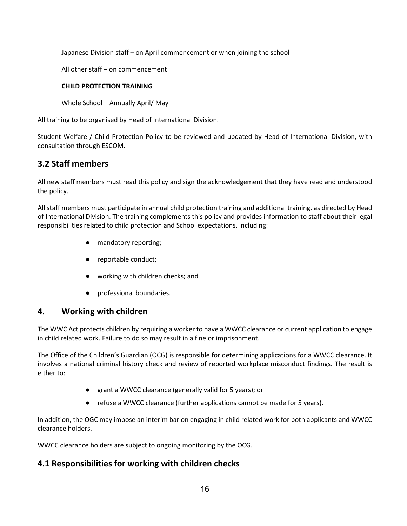Japanese Division staff – on April commencement or when joining the school

All other staff – on commencement

## **CHILD PROTECTION TRAINING**

Whole School – Annually April/ May

All training to be organised by Head of International Division.

Student Welfare / Child Protection Policy to be reviewed and updated by Head of International Division, with consultation through ESCOM.

# **3.2 Staff members**

All new staff members must read this policy and sign the acknowledgement that they have read and understood the policy.

All staff members must participate in annual child protection training and additional training, as directed by Head of International Division. The training complements this policy and provides information to staff about their legal responsibilities related to child protection and School expectations, including:

- mandatory reporting;
- reportable conduct;
- working with children checks; and
- professional boundaries.

# **4. Working with children**

The WWC Act protects children by requiring a worker to have a WWCC clearance or current application to engage in child related work. Failure to do so may result in a fine or imprisonment.

The Office of the Children's Guardian (OCG) is responsible for determining applications for a WWCC clearance. It involves a national criminal history check and review of reported workplace misconduct findings. The result is either to:

- grant a WWCC clearance (generally valid for 5 years); or
- refuse a WWCC clearance (further applications cannot be made for 5 years).

In addition, the OGC may impose an interim bar on engaging in child related work for both applicants and WWCC clearance holders.

WWCC clearance holders are subject to ongoing monitoring by the OCG.

# **4.1 Responsibilities for working with children checks**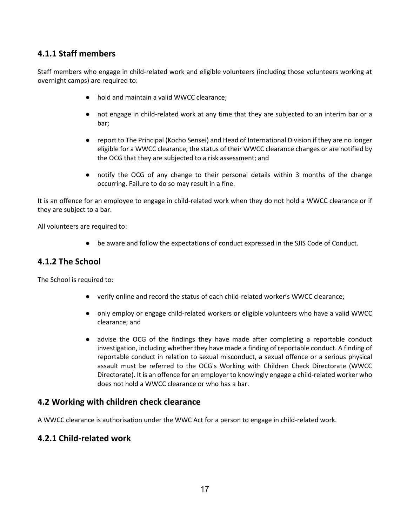# **4.1.1 Staff members**

Staff members who engage in child-related work and eligible volunteers (including those volunteers working at overnight camps) are required to:

- hold and maintain a valid WWCC clearance;
- not engage in child-related work at any time that they are subjected to an interim bar or a bar;
- report to The Principal (Kocho Sensei) and Head of International Division if they are no longer eligible for a WWCC clearance, the status of their WWCC clearance changes or are notified by the OCG that they are subjected to a risk assessment; and
- notify the OCG of any change to their personal details within 3 months of the change occurring. Failure to do so may result in a fine.

It is an offence for an employee to engage in child-related work when they do not hold a WWCC clearance or if they are subject to a bar.

All volunteers are required to:

● be aware and follow the expectations of conduct expressed in the SJIS Code of Conduct.

# **4.1.2 The School**

The School is required to:

- verify online and record the status of each child-related worker's WWCC clearance;
- only employ or engage child-related workers or eligible volunteers who have a valid WWCC clearance; and
- advise the OCG of the findings they have made after completing a reportable conduct investigation, including whether they have made a finding of reportable conduct. A finding of reportable conduct in relation to sexual misconduct, a sexual offence or a serious physical assault must be referred to the OCG's Working with Children Check Directorate (WWCC Directorate). It is an offence for an employer to knowingly engage a child-related worker who does not hold a WWCC clearance or who has a bar.

# **4.2 Working with children check clearance**

A WWCC clearance is authorisation under the WWC Act for a person to engage in child-related work.

# **4.2.1 Child-related work**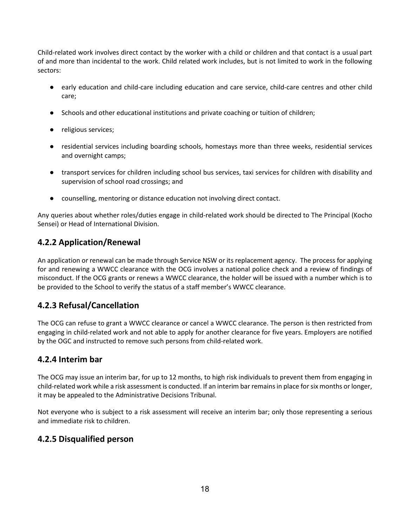Child-related work involves direct contact by the worker with a child or children and that contact is a usual part of and more than incidental to the work. Child related work includes, but is not limited to work in the following sectors:

- early education and child-care including education and care service, child-care centres and other child care;
- Schools and other educational institutions and private coaching or tuition of children;
- religious services;
- residential services including boarding schools, homestays more than three weeks, residential services and overnight camps;
- transport services for children including school bus services, taxi services for children with disability and supervision of school road crossings; and
- counselling, mentoring or distance education not involving direct contact.

Any queries about whether roles/duties engage in child-related work should be directed to The Principal (Kocho Sensei) or Head of International Division.

# **4.2.2 Application/Renewal**

An application or renewal can be made through Service NSW or its replacement agency. The process for applying for and renewing a WWCC clearance with the OCG involves a national police check and a review of findings of misconduct. If the OCG grants or renews a WWCC clearance, the holder will be issued with a number which is to be provided to the School to verify the status of a staff member's WWCC clearance.

# **4.2.3 Refusal/Cancellation**

The OCG can refuse to grant a WWCC clearance or cancel a WWCC clearance. The person is then restricted from engaging in child-related work and not able to apply for another clearance for five years. Employers are notified by the OGC and instructed to remove such persons from child-related work.

# **4.2.4 Interim bar**

The OCG may issue an interim bar, for up to 12 months, to high risk individuals to prevent them from engaging in child-related work while a risk assessment is conducted. If an interim bar remains in place for six months or longer, it may be appealed to the Administrative Decisions Tribunal.

Not everyone who is subject to a risk assessment will receive an interim bar; only those representing a serious and immediate risk to children.

# **4.2.5 Disqualified person**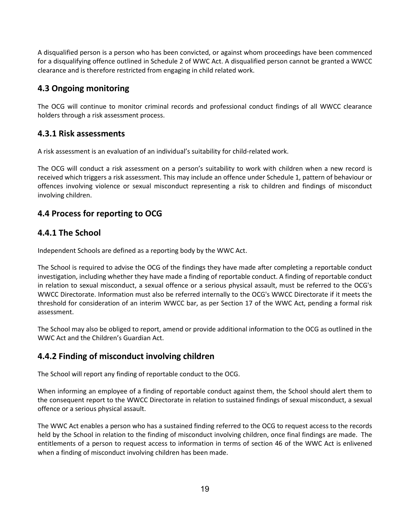A disqualified person is a person who has been convicted, or against whom proceedings have been commenced for a disqualifying offence outlined in Schedule 2 of WWC Act. A disqualified person cannot be granted a WWCC clearance and is therefore restricted from engaging in child related work.

# **4.3 Ongoing monitoring**

The OCG will continue to monitor criminal records and professional conduct findings of all WWCC clearance holders through a risk assessment process.

# **4.3.1 Risk assessments**

A risk assessment is an evaluation of an individual's suitability for child-related work.

The OCG will conduct a risk assessment on a person's suitability to work with children when a new record is received which triggers a risk assessment. This may include an offence under Schedule 1, pattern of behaviour or offences involving violence or sexual misconduct representing a risk to children and findings of misconduct involving children.

# **4.4 Process for reporting to OCG**

# **4.4.1 The School**

Independent Schools are defined as a reporting body by the WWC Act.

The School is required to advise the OCG of the findings they have made after completing a reportable conduct investigation, including whether they have made a finding of reportable conduct. A finding of reportable conduct in relation to sexual misconduct, a sexual offence or a serious physical assault, must be referred to the OCG's WWCC Directorate. Information must also be referred internally to the OCG's WWCC Directorate if it meets the threshold for consideration of an interim WWCC bar, as per Section 17 of the WWC Act, pending a formal risk assessment.

The School may also be obliged to report, amend or provide additional information to the OCG as outlined in the WWC Act and the Children's Guardian Act.

# **4.4.2 Finding of misconduct involving children**

The School will report any finding of reportable conduct to the OCG.

When informing an employee of a finding of reportable conduct against them, the School should alert them to the consequent report to the WWCC Directorate in relation to sustained findings of sexual misconduct, a sexual offence or a serious physical assault.

The WWC Act enables a person who has a sustained finding referred to the OCG to request access to the records held by the School in relation to the finding of misconduct involving children, once final findings are made. The entitlements of a person to request access to information in terms of section 46 of the WWC Act is enlivened when a finding of misconduct involving children has been made.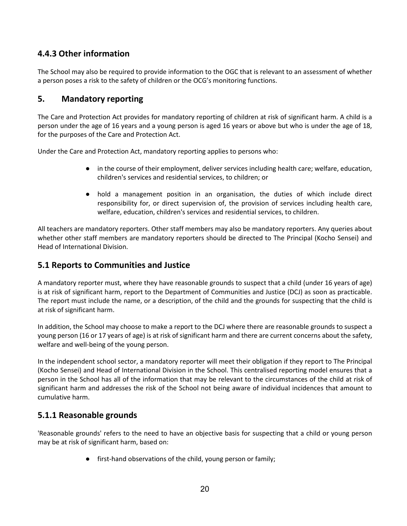# **4.4.3 Other information**

The School may also be required to provide information to the OGC that is relevant to an assessment of whether a person poses a risk to the safety of children or the OCG's monitoring functions.

# **5. Mandatory reporting**

The Care and Protection Act provides for mandatory reporting of children at risk of significant harm. A child is a person under the age of 16 years and a young person is aged 16 years or above but who is under the age of 18, for the purposes of the Care and Protection Act.

Under the Care and Protection Act, mandatory reporting applies to persons who:

- in the course of their employment, deliver services including health care; welfare, education, children's services and residential services, to children; or
- hold a management position in an organisation, the duties of which include direct responsibility for, or direct supervision of, the provision of services including health care, welfare, education, children's services and residential services, to children.

All teachers are mandatory reporters. Other staff members may also be mandatory reporters. Any queries about whether other staff members are mandatory reporters should be directed to The Principal (Kocho Sensei) and Head of International Division.

# **5.1 Reports to Communities and Justice**

A mandatory reporter must, where they have reasonable grounds to suspect that a child (under 16 years of age) is at risk of significant harm, report to the Department of Communities and Justice (DCJ) as soon as practicable. The report must include the name, or a description, of the child and the grounds for suspecting that the child is at risk of significant harm.

In addition, the School may choose to make a report to the DCJ where there are reasonable grounds to suspect a young person (16 or 17 years of age) is at risk of significant harm and there are current concerns about the safety, welfare and well-being of the young person.

In the independent school sector, a mandatory reporter will meet their obligation if they report to The Principal (Kocho Sensei) and Head of International Division in the School. This centralised reporting model ensures that a person in the School has all of the information that may be relevant to the circumstances of the child at risk of significant harm and addresses the risk of the School not being aware of individual incidences that amount to cumulative harm.

# **5.1.1 Reasonable grounds**

'Reasonable grounds' refers to the need to have an objective basis for suspecting that a child or young person may be at risk of significant harm, based on:

● first-hand observations of the child, young person or family;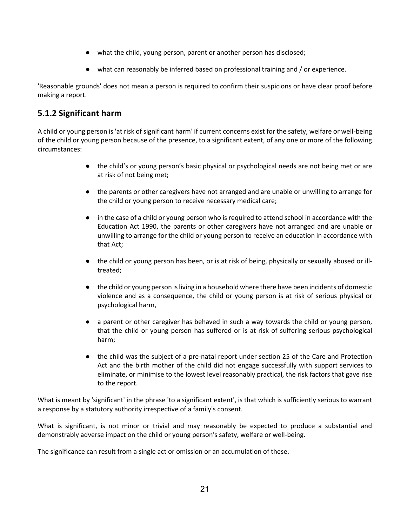- what the child, young person, parent or another person has disclosed;
- what can reasonably be inferred based on professional training and / or experience.

'Reasonable grounds' does not mean a person is required to confirm their suspicions or have clear proof before making a report.

# **5.1.2 Significant harm**

A child or young person is 'at risk of significant harm' if current concerns exist for the safety, welfare or well-being of the child or young person because of the presence, to a significant extent, of any one or more of the following circumstances:

- the child's or young person's basic physical or psychological needs are not being met or are at risk of not being met;
- the parents or other caregivers have not arranged and are unable or unwilling to arrange for the child or young person to receive necessary medical care;
- in the case of a child or young person who is required to attend school in accordance with the Education Act 1990, the parents or other caregivers have not arranged and are unable or unwilling to arrange for the child or young person to receive an education in accordance with that Act;
- the child or young person has been, or is at risk of being, physically or sexually abused or illtreated;
- the child or young person is living in a household where there have been incidents of domestic violence and as a consequence, the child or young person is at risk of serious physical or psychological harm,
- a parent or other caregiver has behaved in such a way towards the child or young person, that the child or young person has suffered or is at risk of suffering serious psychological harm;
- the child was the subject of a pre-natal report under section 25 of the Care and Protection Act and the birth mother of the child did not engage successfully with support services to eliminate, or minimise to the lowest level reasonably practical, the risk factors that gave rise to the report.

What is meant by 'significant' in the phrase 'to a significant extent', is that which is sufficiently serious to warrant a response by a statutory authority irrespective of a family's consent.

What is significant, is not minor or trivial and may reasonably be expected to produce a substantial and demonstrably adverse impact on the child or young person's safety, welfare or well-being.

The significance can result from a single act or omission or an accumulation of these.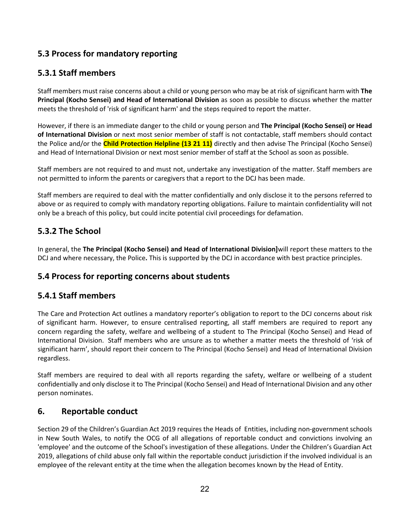# **5.3 Process for mandatory reporting**

# **5.3.1 Staff members**

Staff members must raise concerns about a child or young person who may be at risk of significant harm with **The Principal (Kocho Sensei) and Head of International Division** as soon as possible to discuss whether the matter meets the threshold of 'risk of significant harm' and the steps required to report the matter.

However, if there is an immediate danger to the child or young person and **The Principal (Kocho Sensei) or Head of International Division** or next most senior member of staff is not contactable, staff members should contact the Police and/or the **Child Protection Helpline (13 21 11)** directly and then advise The Principal (Kocho Sensei) and Head of International Division or next most senior member of staff at the School as soon as possible.

Staff members are not required to and must not, undertake any investigation of the matter. Staff members are not permitted to inform the parents or caregivers that a report to the DCJ has been made.

Staff members are required to deal with the matter confidentially and only disclose it to the persons referred to above or as required to comply with mandatory reporting obligations. Failure to maintain confidentiality will not only be a breach of this policy, but could incite potential civil proceedings for defamation.

# **5.3.2 The School**

In general, the **The Principal (Kocho Sensei) and Head of International Division]**will report these matters to the DCJ and where necessary, the Police**.** This is supported by the DCJ in accordance with best practice principles.

# **5.4 Process for reporting concerns about students**

# **5.4.1 Staff members**

The Care and Protection Act outlines a mandatory reporter's obligation to report to the DCJ concerns about risk of significant harm. However, to ensure centralised reporting, all staff members are required to report any concern regarding the safety, welfare and wellbeing of a student to The Principal (Kocho Sensei) and Head of International Division. Staff members who are unsure as to whether a matter meets the threshold of 'risk of significant harm', should report their concern to The Principal (Kocho Sensei) and Head of International Division regardless.

Staff members are required to deal with all reports regarding the safety, welfare or wellbeing of a student confidentially and only disclose it to The Principal (Kocho Sensei) and Head of International Division and any other person nominates.

# **6. Reportable conduct**

Section 29 of the Children's Guardian Act 2019 requires the Heads of Entities, including non-government schools in New South Wales, to notify the OCG of all allegations of reportable conduct and convictions involving an 'employee' and the outcome of the School's investigation of these allegations. Under the Children's Guardian Act 2019, allegations of child abuse only fall within the reportable conduct jurisdiction if the involved individual is an employee of the relevant entity at the time when the allegation becomes known by the Head of Entity.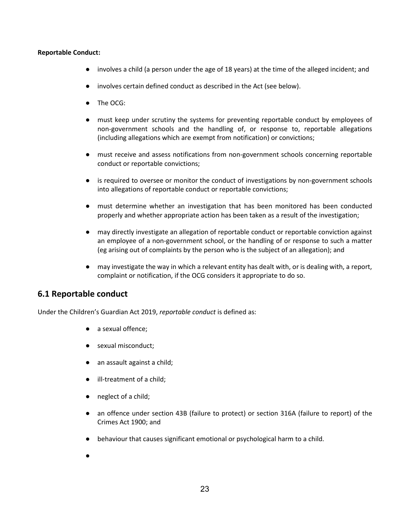#### **Reportable Conduct:**

- involves a child (a person under the age of 18 years) at the time of the alleged incident; and
- involves certain defined conduct as described in the Act (see below).
- The OCG:
- must keep under scrutiny the systems for preventing reportable conduct by employees of non-government schools and the handling of, or response to, reportable allegations (including allegations which are exempt from notification) or convictions;
- must receive and assess notifications from non-government schools concerning reportable conduct or reportable convictions;
- is required to oversee or monitor the conduct of investigations by non-government schools into allegations of reportable conduct or reportable convictions;
- must determine whether an investigation that has been monitored has been conducted properly and whether appropriate action has been taken as a result of the investigation;
- may directly investigate an allegation of reportable conduct or reportable conviction against an employee of a non-government school, or the handling of or response to such a matter (eg arising out of complaints by the person who is the subject of an allegation); and
- may investigate the way in which a relevant entity has dealt with, or is dealing with, a report, complaint or notification, if the OCG considers it appropriate to do so.

# **6.1 Reportable conduct**

Under the Children's Guardian Act 2019, *reportable conduct* is defined as:

- a sexual offence;
- sexual misconduct;
- an assault against a child;
- ill-treatment of a child;
- neglect of a child;
- an offence under section 43B (failure to protect) or section 316A (failure to report) of the Crimes Act 1900; and
- behaviour that causes significant emotional or psychological harm to a child.
- ●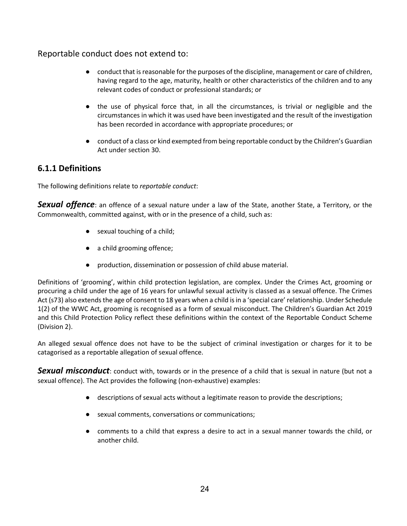# Reportable conduct does not extend to:

- conduct that is reasonable for the purposes of the discipline, management or care of children, having regard to the age, maturity, health or other characteristics of the children and to any relevant codes of conduct or professional standards; or
- the use of physical force that, in all the circumstances, is trivial or negligible and the circumstances in which it was used have been investigated and the result of the investigation has been recorded in accordance with appropriate procedures; or
- conduct of a class or kind exempted from being reportable conduct by the Children's Guardian Act under section 30.

# **6.1.1 Definitions**

The following definitions relate to *reportable conduct*:

**Sexual offence**: an offence of a sexual nature under a law of the State, another State, a Territory, or the Commonwealth, committed against, with or in the presence of a child, such as:

- sexual touching of a child;
- a child grooming offence;
- production, dissemination or possession of child abuse material.

Definitions of 'grooming', within child protection legislation, are complex. Under the Crimes Act, grooming or procuring a child under the age of 16 years for unlawful sexual activity is classed as a sexual offence. The Crimes Act (s73) also extends the age of consent to 18 years when a child is in a 'special care' relationship. Under Schedule 1(2) of the WWC Act, grooming is recognised as a form of sexual misconduct. The Children's Guardian Act 2019 and this Child Protection Policy reflect these definitions within the context of the Reportable Conduct Scheme (Division 2).

An alleged sexual offence does not have to be the subject of criminal investigation or charges for it to be catagorised as a reportable allegation of sexual offence.

**Sexual misconduct**: conduct with, towards or in the presence of a child that is sexual in nature (but not a sexual offence). The Act provides the following (non-exhaustive) examples:

- descriptions of sexual acts without a legitimate reason to provide the descriptions;
- sexual comments, conversations or communications;
- comments to a child that express a desire to act in a sexual manner towards the child, or another child.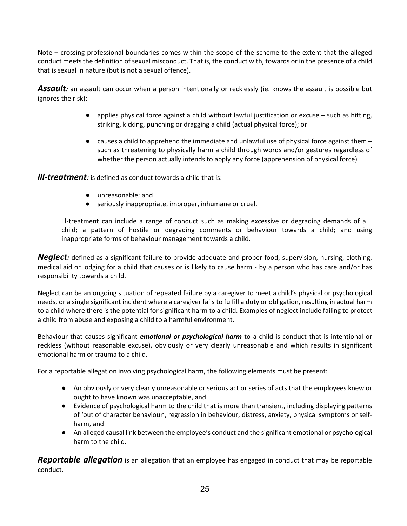Note – crossing professional boundaries comes within the scope of the scheme to the extent that the alleged conduct meets the definition of sexual misconduct. That is, the conduct with, towards or in the presence of a child that is sexual in nature (but is not a sexual offence).

Assault: an assault can occur when a person intentionally or recklessly (ie. knows the assault is possible but ignores the risk):

- applies physical force against a child without lawful justification or excuse such as hitting, striking, kicking, punching or dragging a child (actual physical force); or
- $\bullet$  causes a child to apprehend the immediate and unlawful use of physical force against them  $$ such as threatening to physically harm a child through words and/or gestures regardless of whether the person actually intends to apply any force (apprehension of physical force)

*lll-treatment:* is defined as conduct towards a child that is:

- unreasonable; and
- seriously inappropriate, improper, inhumane or cruel.

 Ill-treatment can include a range of conduct such as making excessive or degrading demands of a child; a pattern of hostile or degrading comments or behaviour towards a child; and using inappropriate forms of behaviour management towards a child.

*Neglect:* defined as a significant failure to provide adequate and proper food, supervision, nursing, clothing, medical aid or lodging for a child that causes or is likely to cause harm - by a person who has care and/or has responsibility towards a child.

Neglect can be an ongoing situation of repeated failure by a caregiver to meet a child's physical or psychological needs, or a single significant incident where a caregiver fails to fulfill a duty or obligation, resulting in actual harm to a child where there is the potential for significant harm to a child. Examples of neglect include failing to protect a child from abuse and exposing a child to a harmful environment.

Behaviour that causes significant *emotional or psychological harm* to a child is conduct that is intentional or reckless (without reasonable excuse), obviously or very clearly unreasonable and which results in significant emotional harm or trauma to a child.

For a reportable allegation involving psychological harm, the following elements must be present:

- An obviously or very clearly unreasonable or serious act or series of acts that the employees knew or ought to have known was unacceptable, and
- Evidence of psychological harm to the child that is more than transient, including displaying patterns of 'out of character behaviour', regression in behaviour, distress, anxiety, physical symptoms or selfharm, and
- An alleged causal link between the employee's conduct and the significant emotional or psychological harm to the child.

*Reportable allegation* is an allegation that an employee has engaged in conduct that may be reportable conduct.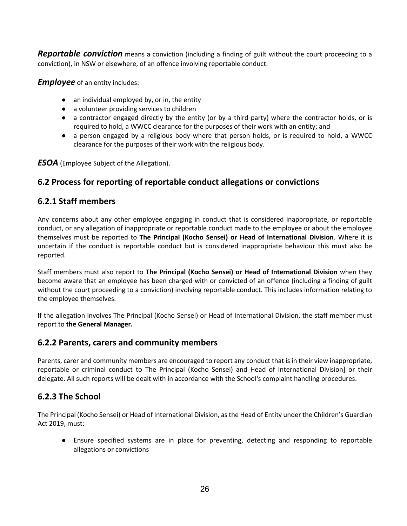*Reportable conviction* means a conviction (including a finding of guilt without the court proceeding to a conviction), in NSW or elsewhere, of an offence involving reportable conduct.

*Employee* of an entity includes:

- $\bullet$  an individual employed by, or in, the entity
- a volunteer providing services to children
- a contractor engaged directly by the entity (or by a third party) where the contractor holds, or is required to hold, a WWCC clearance for the purposes of their work with an entity; and
- a person engaged by a religious body where that person holds, or is required to hold, a WWCC clearance for the purposes of their work with the religious body.

*ESOA* (Employee Subject of the Allegation).

# **6.2 Process for reporting of reportable conduct allegations or convictions**

# **6.2.1 Staff members**

Any concerns about any other employee engaging in conduct that is considered inappropriate, or reportable conduct, or any allegation of inappropriate or reportable conduct made to the employee or about the employee themselves must be reported to **The Principal (Kocho Sensei) or Head of International Division**. Where it is uncertain if the conduct is reportable conduct but is considered inappropriate behaviour this must also be reported.

Staff members must also report to **The Principal (Kocho Sensei) or Head of International Division** when they become aware that an employee has been charged with or convicted of an offence (including a finding of guilt without the court proceeding to a conviction) involving reportable conduct. This includes information relating to the employee themselves.

If the allegation involves The Principal (Kocho Sensei) or Head of International Division, the staff member must report to **the General Manager.**

# **6.2.2 Parents, carers and community members**

Parents, carer and community members are encouraged to report any conduct that is in their view inappropriate, reportable or criminal conduct to The Principal (Kocho Sensei) and Head of International Division] or their delegate. All such reports will be dealt with in accordance with the School's complaint handling procedures.

# **6.2.3 The School**

The Principal (Kocho Sensei) or Head of International Division, as the Head of Entity under the Children's Guardian Act 2019, must:

● Ensure specified systems are in place for preventing, detecting and responding to reportable allegations or convictions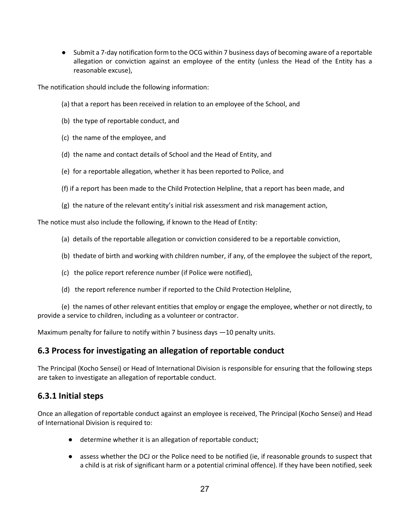● Submit a 7-day notification form to the OCG within 7 business days of becoming aware of a reportable allegation or conviction against an employee of the entity (unless the Head of the Entity has a reasonable excuse),

The notification should include the following information:

- (a) that a report has been received in relation to an employee of the School, and
- (b) the type of reportable conduct, and
- (c) the name of the employee, and
- (d) the name and contact details of School and the Head of Entity, and
- (e) for a reportable allegation, whether it has been reported to Police, and
- (f) if a report has been made to the Child Protection Helpline, that a report has been made, and
- (g) the nature of the relevant entity's initial risk assessment and risk management action,

The notice must also include the following, if known to the Head of Entity:

- (a) details of the reportable allegation or conviction considered to be a reportable conviction,
- (b) thedate of birth and working with children number, if any, of the employee the subject of the report,
- (c) the police report reference number (if Police were notified),
- (d) the report reference number if reported to the Child Protection Helpline,

(e) the names of other relevant entities that employ or engage the employee, whether or not directly, to provide a service to children, including as a volunteer or contractor.

Maximum penalty for failure to notify within 7 business days —10 penalty units.

# **6.3 Process for investigating an allegation of reportable conduct**

The Principal (Kocho Sensei) or Head of International Division is responsible for ensuring that the following steps are taken to investigate an allegation of reportable conduct.

# **6.3.1 Initial steps**

Once an allegation of reportable conduct against an employee is received, The Principal (Kocho Sensei) and Head of International Division is required to:

- determine whether it is an allegation of reportable conduct;
- assess whether the DCJ or the Police need to be notified (ie, if reasonable grounds to suspect that a child is at risk of significant harm or a potential criminal offence). If they have been notified, seek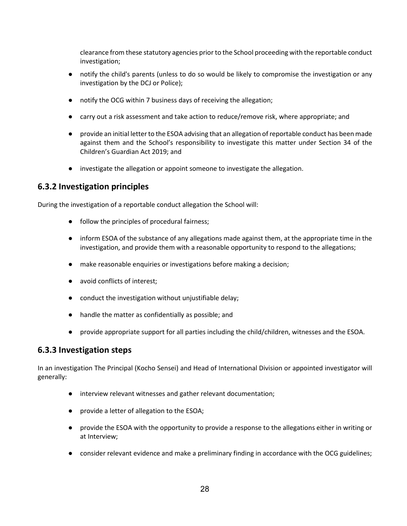clearance from these statutory agencies prior to the School proceeding with the reportable conduct investigation;

- notify the child's parents (unless to do so would be likely to compromise the investigation or any investigation by the DCJ or Police);
- notify the OCG within 7 business days of receiving the allegation;
- carry out a risk assessment and take action to reduce/remove risk, where appropriate; and
- provide an initial letter to the ESOA advising that an allegation of reportable conduct has been made against them and the School's responsibility to investigate this matter under Section 34 of the Children's Guardian Act 2019; and
- investigate the allegation or appoint someone to investigate the allegation.

# **6.3.2 Investigation principles**

During the investigation of a reportable conduct allegation the School will:

- follow the principles of procedural fairness;
- inform ESOA of the substance of any allegations made against them, at the appropriate time in the investigation, and provide them with a reasonable opportunity to respond to the allegations;
- make reasonable enquiries or investigations before making a decision;
- avoid conflicts of interest;
- conduct the investigation without unjustifiable delay;
- handle the matter as confidentially as possible; and
- provide appropriate support for all parties including the child/children, witnesses and the ESOA.

## **6.3.3 Investigation steps**

In an investigation The Principal (Kocho Sensei) and Head of International Division or appointed investigator will generally:

- interview relevant witnesses and gather relevant documentation;
- provide a letter of allegation to the ESOA;
- provide the ESOA with the opportunity to provide a response to the allegations either in writing or at Interview;
- consider relevant evidence and make a preliminary finding in accordance with the OCG guidelines;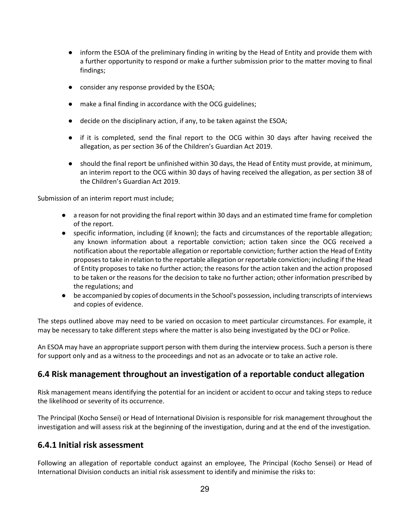- inform the ESOA of the preliminary finding in writing by the Head of Entity and provide them with a further opportunity to respond or make a further submission prior to the matter moving to final findings;
- consider any response provided by the ESOA;
- make a final finding in accordance with the OCG guidelines;
- **decide on the disciplinary action, if any, to be taken against the ESOA;**
- if it is completed, send the final report to the OCG within 30 days after having received the allegation, as per section 36 of the Children's Guardian Act 2019.
- should the final report be unfinished within 30 days, the Head of Entity must provide, at minimum, an interim report to the OCG within 30 days of having received the allegation, as per section 38 of the Children's Guardian Act 2019.

Submission of an interim report must include;

- a reason for not providing the final report within 30 days and an estimated time frame for completion of the report.
- specific information, including (if known); the facts and circumstances of the reportable allegation; any known information about a reportable conviction; action taken since the OCG received a notification about the reportable allegation or reportable conviction; further action the Head of Entity proposes to take in relation to the reportable allegation or reportable conviction; including if the Head of Entity proposes to take no further action; the reasons for the action taken and the action proposed to be taken or the reasons for the decision to take no further action; other information prescribed by the regulations; and
- be accompanied by copies of documents in the School's possession, including transcripts of interviews and copies of evidence.

The steps outlined above may need to be varied on occasion to meet particular circumstances. For example, it may be necessary to take different steps where the matter is also being investigated by the DCJ or Police.

An ESOA may have an appropriate support person with them during the interview process. Such a person is there for support only and as a witness to the proceedings and not as an advocate or to take an active role.

# **6.4 Risk management throughout an investigation of a reportable conduct allegation**

Risk management means identifying the potential for an incident or accident to occur and taking steps to reduce the likelihood or severity of its occurrence.

The Principal (Kocho Sensei) or Head of International Division is responsible for risk management throughout the investigation and will assess risk at the beginning of the investigation, during and at the end of the investigation.

# **6.4.1 Initial risk assessment**

Following an allegation of reportable conduct against an employee, The Principal (Kocho Sensei) or Head of International Division conducts an initial risk assessment to identify and minimise the risks to: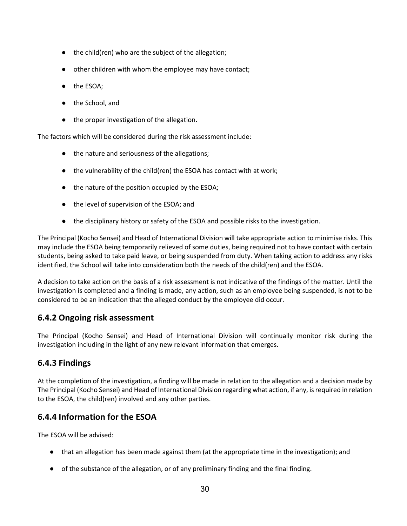- the child(ren) who are the subject of the allegation;
- other children with whom the employee may have contact;
- the ESOA;
- the School, and
- the proper investigation of the allegation.

The factors which will be considered during the risk assessment include:

- the nature and seriousness of the allegations;
- the vulnerability of the child(ren) the ESOA has contact with at work;
- the nature of the position occupied by the ESOA;
- the level of supervision of the ESOA; and
- the disciplinary history or safety of the ESOA and possible risks to the investigation.

The Principal (Kocho Sensei) and Head of International Division will take appropriate action to minimise risks. This may include the ESOA being temporarily relieved of some duties, being required not to have contact with certain students, being asked to take paid leave, or being suspended from duty. When taking action to address any risks identified, the School will take into consideration both the needs of the child(ren) and the ESOA.

A decision to take action on the basis of a risk assessment is not indicative of the findings of the matter. Until the investigation is completed and a finding is made, any action, such as an employee being suspended, is not to be considered to be an indication that the alleged conduct by the employee did occur.

# **6.4.2 Ongoing risk assessment**

The Principal (Kocho Sensei) and Head of International Division will continually monitor risk during the investigation including in the light of any new relevant information that emerges.

# **6.4.3 Findings**

At the completion of the investigation, a finding will be made in relation to the allegation and a decision made by The Principal (Kocho Sensei) and Head of International Division regarding what action, if any, is required in relation to the ESOA, the child(ren) involved and any other parties.

# **6.4.4 Information for the ESOA**

The ESOA will be advised:

- that an allegation has been made against them (at the appropriate time in the investigation); and
- of the substance of the allegation, or of any preliminary finding and the final finding.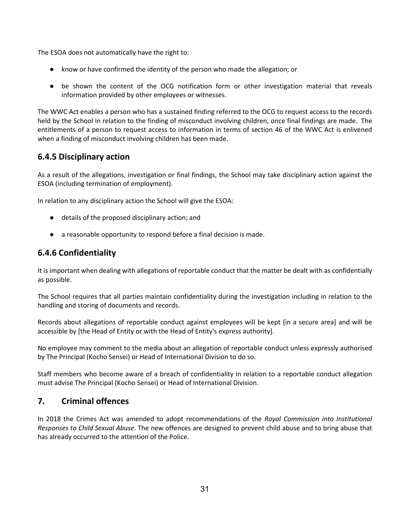The ESOA does not automatically have the right to:

- know or have confirmed the identity of the person who made the allegation; or
- be shown the content of the OCG notification form or other investigation material that reveals information provided by other employees or witnesses.

The WWC Act enables a person who has a sustained finding referred to the OCG to request access to the records held by the School in relation to the finding of misconduct involving children, once final findings are made. The entitlements of a person to request access to information in terms of section 46 of the WWC Act is enlivened when a finding of misconduct involving children has been made.

# **6.4.5 Disciplinary action**

As a result of the allegations, investigation or final findings, the School may take disciplinary action against the ESOA (including termination of employment).

In relation to any disciplinary action the School will give the ESOA:

- details of the proposed disciplinary action; and
- a reasonable opportunity to respond before a final decision is made.

# **6.4.6 Confidentiality**

It is important when dealing with allegations of reportable conduct that the matter be dealt with as confidentially as possible.

The School requires that all parties maintain confidentiality during the investigation including in relation to the handling and storing of documents and records.

Records about allegations of reportable conduct against employees will be kept [in a secure area] and will be accessible by [the Head of Entity or with the Head of Entity's express authority].

No employee may comment to the media about an allegation of reportable conduct unless expressly authorised by The Principal (Kocho Sensei) or Head of International Division to do so.

Staff members who become aware of a breach of confidentiality in relation to a reportable conduct allegation must advise The Principal (Kocho Sensei) or Head of International Division.

# **7. Criminal offences**

In 2018 the Crimes Act was amended to adopt recommendations of the *Royal Commission into Institutional Responses to Child Sexual Abuse*. The new offences are designed to prevent child abuse and to bring abuse that has already occurred to the attention of the Police.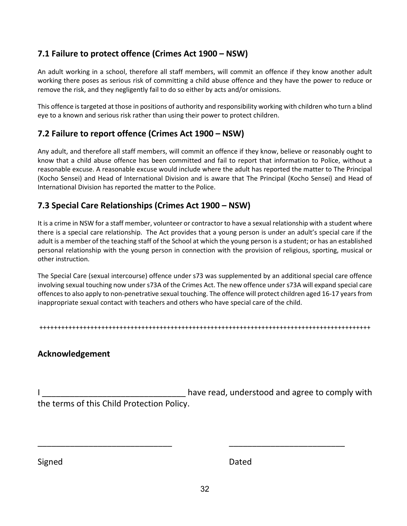# **7.1 Failure to protect offence (Crimes Act 1900 – NSW)**

An adult working in a school, therefore all staff members, will commit an offence if they know another adult working there poses as serious risk of committing a child abuse offence and they have the power to reduce or remove the risk, and they negligently fail to do so either by acts and/or omissions.

This offence is targeted at those in positions of authority and responsibility working with children who turn a blind eye to a known and serious risk rather than using their power to protect children.

# **7.2 Failure to report offence (Crimes Act 1900 – NSW)**

Any adult, and therefore all staff members, will commit an offence if they know, believe or reasonably ought to know that a child abuse offence has been committed and fail to report that information to Police, without a reasonable excuse. A reasonable excuse would include where the adult has reported the matter to The Principal (Kocho Sensei) and Head of International Division and is aware that The Principal (Kocho Sensei) and Head of International Division has reported the matter to the Police.

# **7.3 Special Care Relationships (Crimes Act 1900 – NSW)**

It is a crime in NSW for a staff member, volunteer or contractor to have a sexual relationship with a student where there is a special care relationship. The Act provides that a young person is under an adult's special care if the adult is a member of the teaching staff of the School at which the young person is a student; or has an established personal relationship with the young person in connection with the provision of religious, sporting, musical or other instruction.

The Special Care (sexual intercourse) offence under s73 was supplemented by an additional special care offence involving sexual touching now under s73A of the Crimes Act. The new offence under s73A will expand special care offences to also apply to non-penetrative sexual touching. The offence will protect children aged 16-17 years from inappropriate sexual contact with teachers and others who have special care of the child.

+++++++++++++++++++++++++++++++++++++++++++++++++++++++++++++++++++++++++++++++++++++++++++

# **Acknowledgement**

have read, understood and agree to comply with the terms of this Child Protection Policy.

\_\_\_\_\_\_\_\_\_\_\_\_\_\_\_\_\_\_\_\_\_\_\_\_\_\_\_\_\_ \_\_\_\_\_\_\_\_\_\_\_\_\_\_\_\_\_\_\_\_\_\_\_\_\_

Signed Dated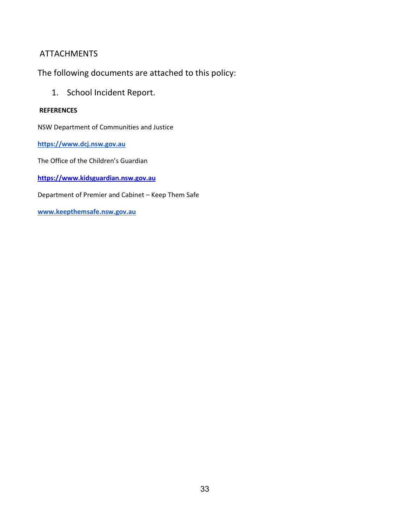# ATTACHMENTS

The following documents are attached to this policy:

1. School Incident Report.

## **REFERENCES**

NSW Department of Communities and Justice

**[https://www.dcj.nsw.gov.au](https://www.dcj.nsw.gov.au/)**

The Office of the Children's Guardian

**[https://www.kidsguardian.nsw.gov.au](https://www.kidsguardian.nsw.gov.au/)**

Department of Premier and Cabinet – Keep Them Safe

**[www.keepthemsafe.nsw.gov.au](http://www.keepthemsafe.nsw.gov.au/)**